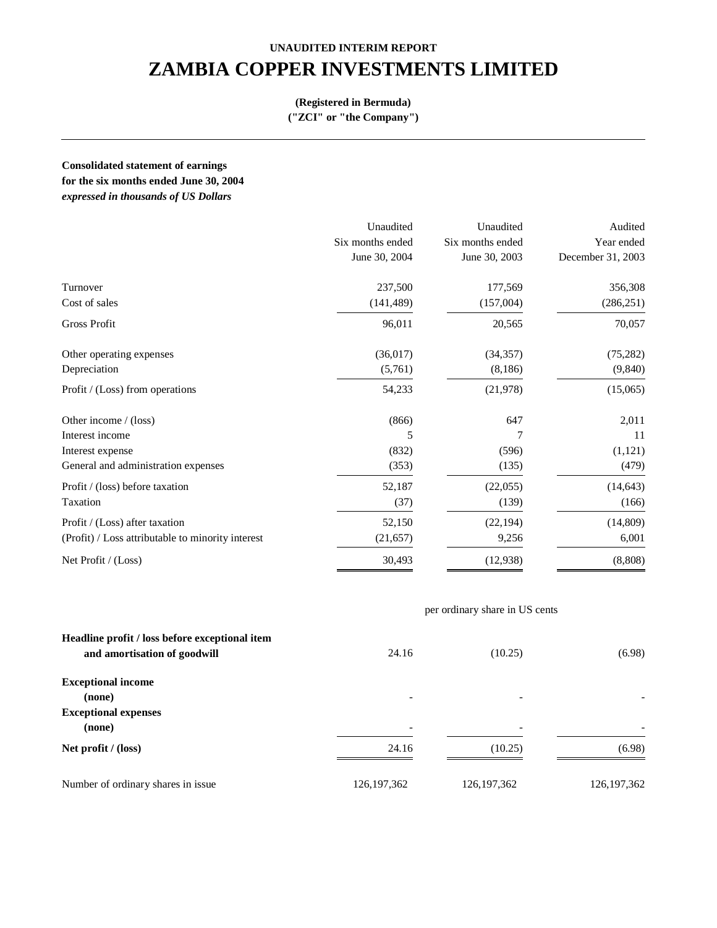# **UNAUDITED INTERIM REPORT ZAMBIA COPPER INVESTMENTS LIMITED**

#### **(Registered in Bermuda)**

**("ZCI" or "the Company")**

**Consolidated statement of earnings**

**for the six months ended June 30, 2004** 

*expressed in thousands of US Dollars*

|                                                   | Unaudited        | Unaudited        | Audited           |
|---------------------------------------------------|------------------|------------------|-------------------|
|                                                   | Six months ended | Six months ended | Year ended        |
|                                                   | June 30, 2004    | June 30, 2003    | December 31, 2003 |
| Turnover                                          | 237,500          | 177,569          | 356,308           |
| Cost of sales                                     | (141, 489)       | (157,004)        | (286, 251)        |
| <b>Gross Profit</b>                               | 96,011           | 20,565           | 70,057            |
| Other operating expenses                          | (36, 017)        | (34, 357)        | (75, 282)         |
| Depreciation                                      | (5,761)          | (8,186)          | (9, 840)          |
| Profit / (Loss) from operations                   | 54,233           | (21, 978)        | (15,065)          |
| Other income / (loss)                             | (866)            | 647              | 2,011             |
| Interest income                                   | 5                | 7                | 11                |
| Interest expense                                  | (832)            | (596)            | (1,121)           |
| General and administration expenses               | (353)            | (135)            | (479)             |
| Profit / (loss) before taxation                   | 52,187           | (22,055)         | (14, 643)         |
| Taxation                                          | (37)             | (139)            | (166)             |
| Profit / (Loss) after taxation                    | 52,150           | (22, 194)        | (14, 809)         |
| (Profit) / Loss attributable to minority interest | (21, 657)        | 9,256            | 6,001             |
| Net Profit / (Loss)                               | 30,493           | (12, 938)        | (8,808)           |

### per ordinary share in US cents

| Headline profit / loss before exceptional item<br>and amortisation of goodwill | 24.16                    | (10.25)                  | (6.98)        |
|--------------------------------------------------------------------------------|--------------------------|--------------------------|---------------|
| <b>Exceptional income</b>                                                      |                          |                          |               |
| (none)                                                                         |                          |                          |               |
| <b>Exceptional expenses</b>                                                    |                          |                          |               |
| (none)                                                                         | $\overline{\phantom{a}}$ | $\overline{\phantom{a}}$ |               |
| Net profit $/$ (loss)                                                          | 24.16                    | (10.25)                  | (6.98)        |
| Number of ordinary shares in issue.                                            | 126, 197, 362            | 126, 197, 362            | 126, 197, 362 |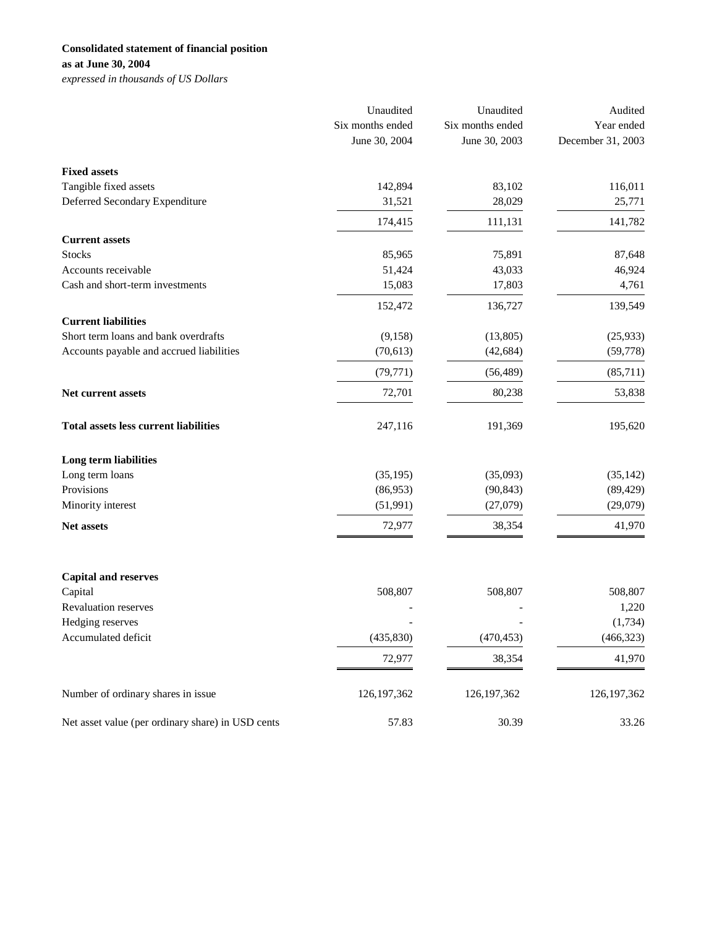## **Consolidated statement of financial position**

**as at June 30, 2004**

*expressed in thousands of US Dollars*

|                                                   | Unaudited                         | Unaudited                         | Audited                         |
|---------------------------------------------------|-----------------------------------|-----------------------------------|---------------------------------|
|                                                   | Six months ended<br>June 30, 2004 | Six months ended<br>June 30, 2003 | Year ended<br>December 31, 2003 |
|                                                   |                                   |                                   |                                 |
| <b>Fixed assets</b>                               |                                   |                                   |                                 |
| Tangible fixed assets                             | 142,894                           | 83,102                            | 116,011                         |
| Deferred Secondary Expenditure                    | 31,521                            | 28,029                            | 25,771                          |
|                                                   | 174,415                           | 111,131                           | 141,782                         |
| <b>Current assets</b>                             |                                   |                                   |                                 |
| <b>Stocks</b>                                     | 85,965                            | 75,891                            | 87,648                          |
| Accounts receivable                               | 51,424                            | 43,033                            | 46,924                          |
| Cash and short-term investments                   | 15,083                            | 17,803                            | 4,761                           |
|                                                   | 152,472                           | 136,727                           | 139,549                         |
| <b>Current liabilities</b>                        |                                   |                                   |                                 |
| Short term loans and bank overdrafts              | (9,158)                           | (13,805)                          | (25, 933)                       |
| Accounts payable and accrued liabilities          | (70, 613)                         | (42, 684)                         | (59, 778)                       |
|                                                   | (79, 771)                         | (56, 489)                         | (85,711)                        |
| Net current assets                                | 72,701                            | 80,238                            | 53,838                          |
| <b>Total assets less current liabilities</b>      | 247,116                           | 191,369                           | 195,620                         |
| Long term liabilities                             |                                   |                                   |                                 |
| Long term loans                                   | (35, 195)                         | (35,093)                          | (35, 142)                       |
| Provisions                                        | (86,953)                          | (90, 843)                         | (89, 429)                       |
| Minority interest                                 | (51, 991)                         | (27,079)                          | (29,079)                        |
| Net assets                                        | 72,977                            | 38,354                            | 41,970                          |
|                                                   |                                   |                                   |                                 |
| <b>Capital and reserves</b>                       |                                   |                                   |                                 |
| Capital                                           | 508,807                           | 508,807                           | 508,807                         |
| Revaluation reserves                              |                                   |                                   | 1,220                           |
| Hedging reserves<br>Accumulated deficit           | (435, 830)                        | (470, 453)                        | (1,734)<br>(466, 323)           |
|                                                   |                                   |                                   |                                 |
|                                                   | 72,977                            | 38,354                            | 41,970                          |
| Number of ordinary shares in issue                | 126, 197, 362                     | 126, 197, 362                     | 126, 197, 362                   |
| Net asset value (per ordinary share) in USD cents | 57.83                             | 30.39                             | 33.26                           |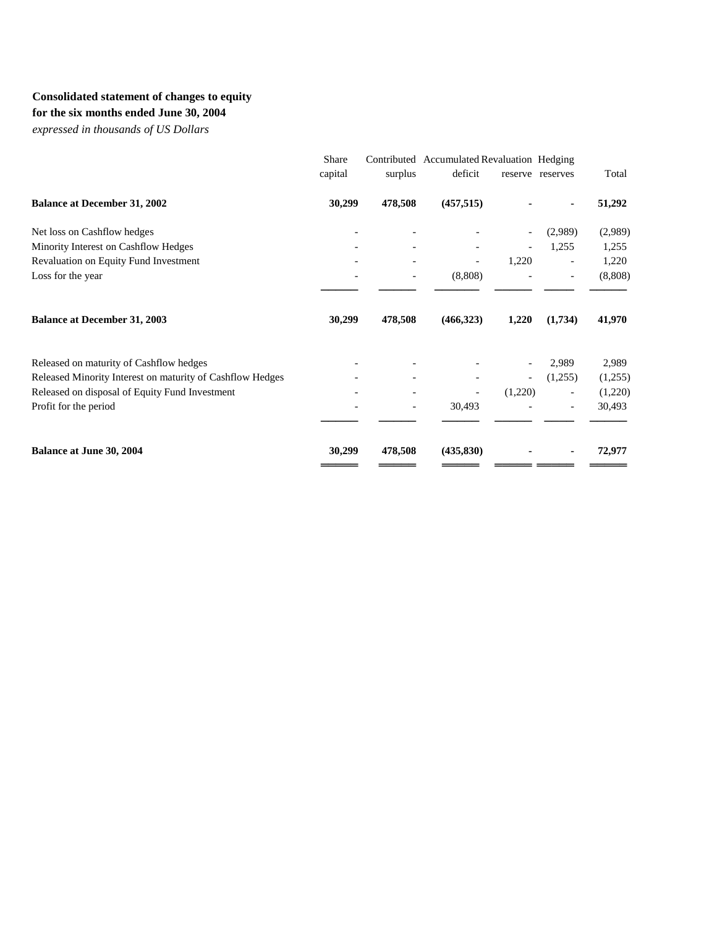## **Consolidated statement of changes to equity**

**for the six months ended June 30, 2004**

*expressed in thousands of US Dollars*

| Share<br>capital | surplus                  | deficit                  |         |                          | Total                                                                      |
|------------------|--------------------------|--------------------------|---------|--------------------------|----------------------------------------------------------------------------|
| 30,299           |                          | (457, 515)               |         |                          | 51,292                                                                     |
|                  |                          |                          |         | (2,989)                  | (2,989)                                                                    |
|                  |                          |                          |         | 1,255                    | 1,255                                                                      |
|                  |                          | $\overline{\phantom{a}}$ | 1,220   | $\overline{\phantom{a}}$ | 1,220                                                                      |
|                  |                          | (8,808)                  |         |                          | (8,808)                                                                    |
| 30,299           | 478,508                  | (466,323)                | 1,220   | (1,734)                  | 41,970                                                                     |
|                  |                          |                          |         | 2,989                    | 2,989                                                                      |
|                  |                          |                          |         | (1,255)                  | (1,255)                                                                    |
| $\qquad \qquad$  |                          |                          |         | $\overline{\phantom{a}}$ | (1,220)                                                                    |
|                  | $\overline{\phantom{a}}$ | 30,493                   |         |                          | 30,493                                                                     |
| 30,299           | 478,508                  | (435, 830)               |         |                          | 72,977                                                                     |
|                  |                          |                          | 478,508 |                          | Contributed Accumulated Revaluation Hedging<br>reserve reserves<br>(1,220) |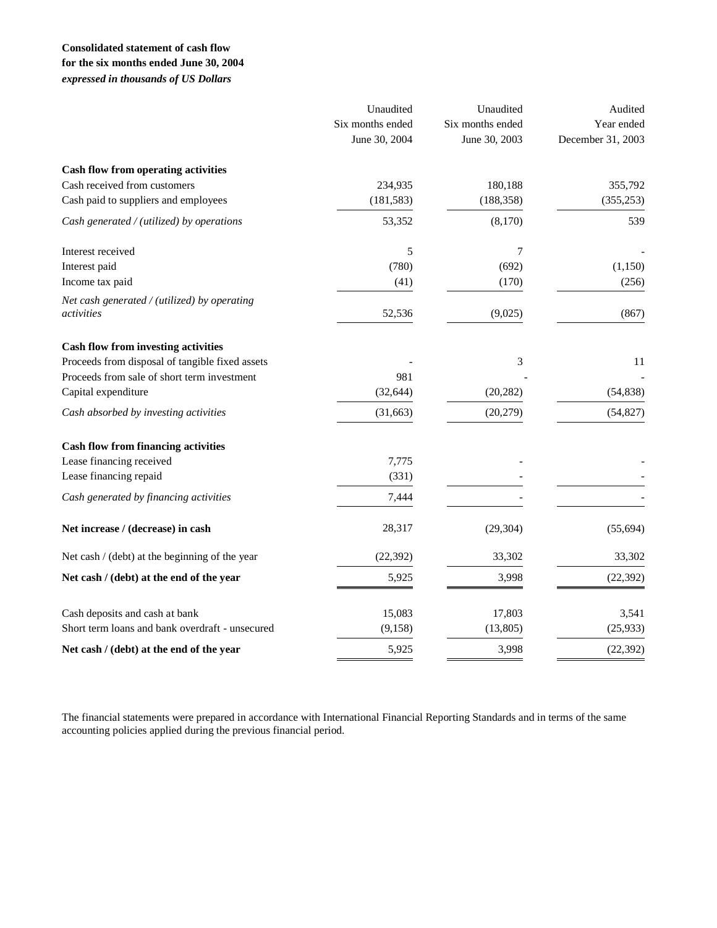### **Consolidated statement of cash flow for the six months ended June 30, 2004** *expressed in thousands of US Dollars*

|                                                 | Unaudited<br>Six months ended<br>June 30, 2004 | Unaudited<br>Six months ended<br>June 30, 2003 | Audited<br>Year ended<br>December 31, 2003 |
|-------------------------------------------------|------------------------------------------------|------------------------------------------------|--------------------------------------------|
|                                                 |                                                |                                                |                                            |
| Cash flow from operating activities             |                                                |                                                |                                            |
| Cash received from customers                    | 234,935                                        | 180,188                                        | 355,792                                    |
| Cash paid to suppliers and employees            | (181, 583)                                     | (188, 358)                                     | (355, 253)                                 |
| Cash generated / (utilized) by operations       | 53,352                                         | (8,170)                                        | 539                                        |
| Interest received                               | 5                                              | 7                                              |                                            |
| Interest paid                                   | (780)                                          | (692)                                          | (1,150)                                    |
| Income tax paid                                 | (41)                                           | (170)                                          | (256)                                      |
| Net cash generated / (utilized) by operating    |                                                |                                                |                                            |
| activities                                      | 52,536                                         | (9,025)                                        | (867)                                      |
| <b>Cash flow from investing activities</b>      |                                                |                                                |                                            |
| Proceeds from disposal of tangible fixed assets |                                                | 3                                              | 11                                         |
| Proceeds from sale of short term investment     | 981                                            |                                                |                                            |
| Capital expenditure                             | (32, 644)                                      | (20, 282)                                      | (54, 838)                                  |
| Cash absorbed by investing activities           | (31, 663)                                      | (20, 279)                                      | (54, 827)                                  |
| <b>Cash flow from financing activities</b>      |                                                |                                                |                                            |
| Lease financing received                        | 7,775                                          |                                                |                                            |
| Lease financing repaid                          | (331)                                          |                                                |                                            |
| Cash generated by financing activities          | 7,444                                          |                                                |                                            |
| Net increase / (decrease) in cash               | 28,317                                         | (29, 304)                                      | (55, 694)                                  |
| Net cash / (debt) at the beginning of the year  | (22, 392)                                      | 33,302                                         | 33,302                                     |
| Net cash / (debt) at the end of the year        | 5,925                                          | 3,998                                          | (22, 392)                                  |
| Cash deposits and cash at bank                  | 15,083                                         | 17,803                                         | 3,541                                      |
| Short term loans and bank overdraft - unsecured | (9, 158)                                       | (13, 805)                                      | (25, 933)                                  |
| Net cash / (debt) at the end of the year        | 5,925                                          | 3,998                                          | (22, 392)                                  |

The financial statements were prepared in accordance with International Financial Reporting Standards and in terms of the same accounting policies applied during the previous financial period.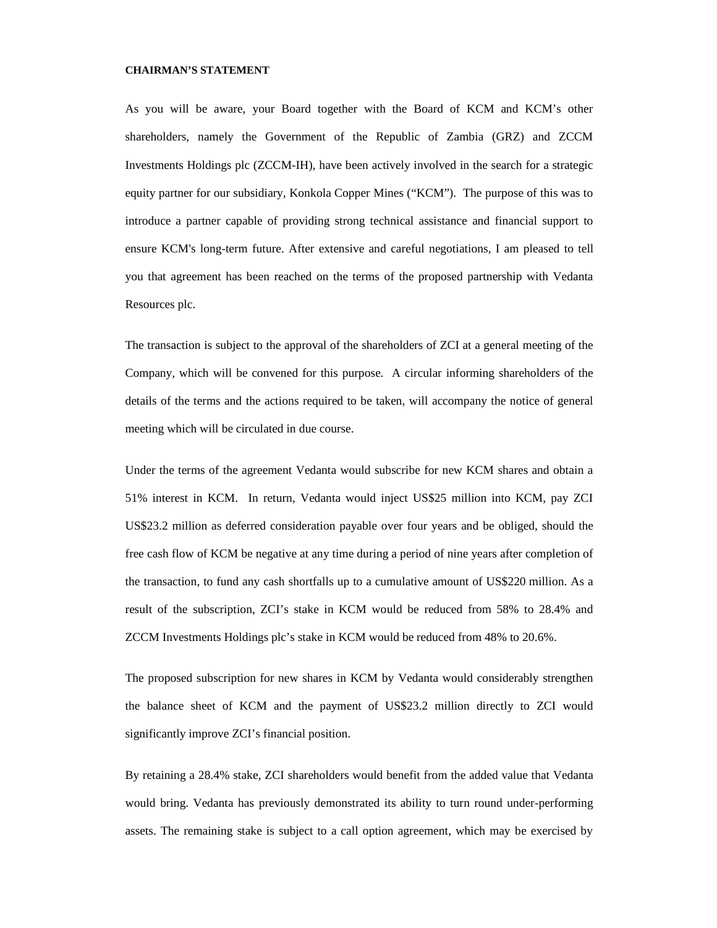#### **CHAIRMAN'S STATEMENT**

As you will be aware, your Board together with the Board of KCM and KCM's other shareholders, namely the Government of the Republic of Zambia (GRZ) and ZCCM Investments Holdings plc (ZCCM-IH), have been actively involved in the search for a strategic equity partner for our subsidiary, Konkola Copper Mines ("KCM"). The purpose of this was to introduce a partner capable of providing strong technical assistance and financial support to ensure KCM's long-term future. After extensive and careful negotiations, I am pleased to tell you that agreement has been reached on the terms of the proposed partnership with Vedanta Resources plc.

The transaction is subject to the approval of the shareholders of ZCI at a general meeting of the Company, which will be convened for this purpose. A circular informing shareholders of the details of the terms and the actions required to be taken, will accompany the notice of general meeting which will be circulated in due course.

Under the terms of the agreement Vedanta would subscribe for new KCM shares and obtain a 51% interest in KCM. In return, Vedanta would inject US\$25 million into KCM, pay ZCI US\$23.2 million as deferred consideration payable over four years and be obliged, should the free cash flow of KCM be negative at any time during a period of nine years after completion of the transaction, to fund any cash shortfalls up to a cumulative amount of US\$220 million. As a result of the subscription, ZCI's stake in KCM would be reduced from 58% to 28.4% and ZCCM Investments Holdings plc's stake in KCM would be reduced from 48% to 20.6%.

The proposed subscription for new shares in KCM by Vedanta would considerably strengthen the balance sheet of KCM and the payment of US\$23.2 million directly to ZCI would significantly improve ZCI's financial position.

By retaining a 28.4% stake, ZCI shareholders would benefit from the added value that Vedanta would bring. Vedanta has previously demonstrated its ability to turn round under-performing assets. The remaining stake is subject to a call option agreement, which may be exercised by